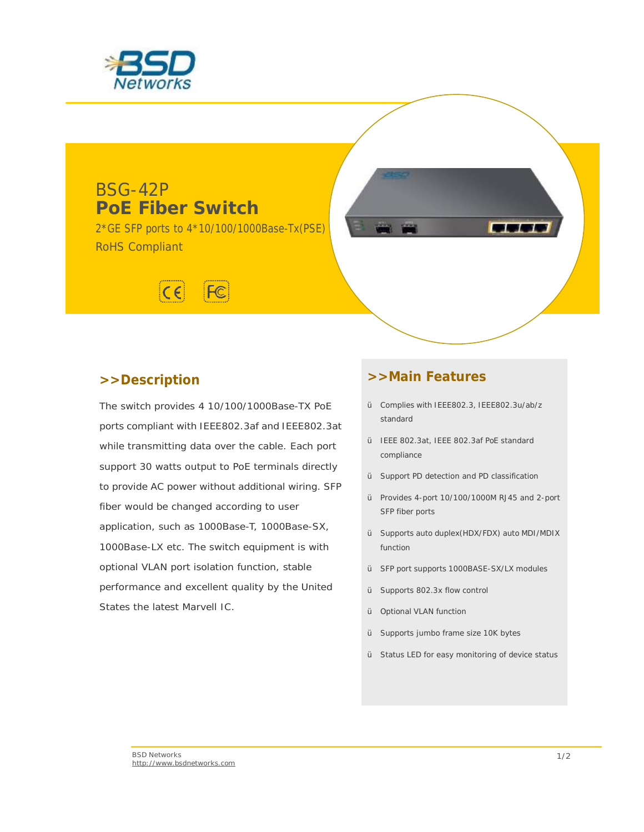

# BSG-42P **PoE Fiber Switch**

2\*GE SFP ports to 4\*10/100/1000Base-Tx(PSE) RoHS Compliant



## **>>Description**

The switch provides 4 10/100/1000Base-TX PoE ports compliant with IEEE802.3af and IEEE802.3at while transmitting data over the cable. Each port support 30 watts output to PoE terminals directly to provide AC power without additional wiring. SFP fiber would be changed according to user application, such as 1000Base-T, 1000Base-SX, 1000Base-LX etc. The switch equipment is with optional VLAN port isolation function, stable performance and excellent quality by the United States the latest Marvell IC.

## **>>Main Features**

Ÿ Complies with IEEE802.3, IEEE802.3u/ab/z standard

**BELLE** 

- Ÿ IEEE 802.3at, IEEE 802.3af PoE standard compliance
- Ÿ Support PD detection and PD classification
- Ÿ Provides 4-port 10/100/1000M RJ45 and 2-port SFP fiber ports
- Ÿ Supports auto duplex(HDX/FDX) auto MDI/MDIX function
- Ÿ SFP port supports 1000BASE-SX/LX modules
- Ÿ Supports 802.3x flow control
- Ÿ Optional VLAN function
- Ÿ Supports jumbo frame size 10K bytes
- Ÿ Status LED for easy monitoring of device status